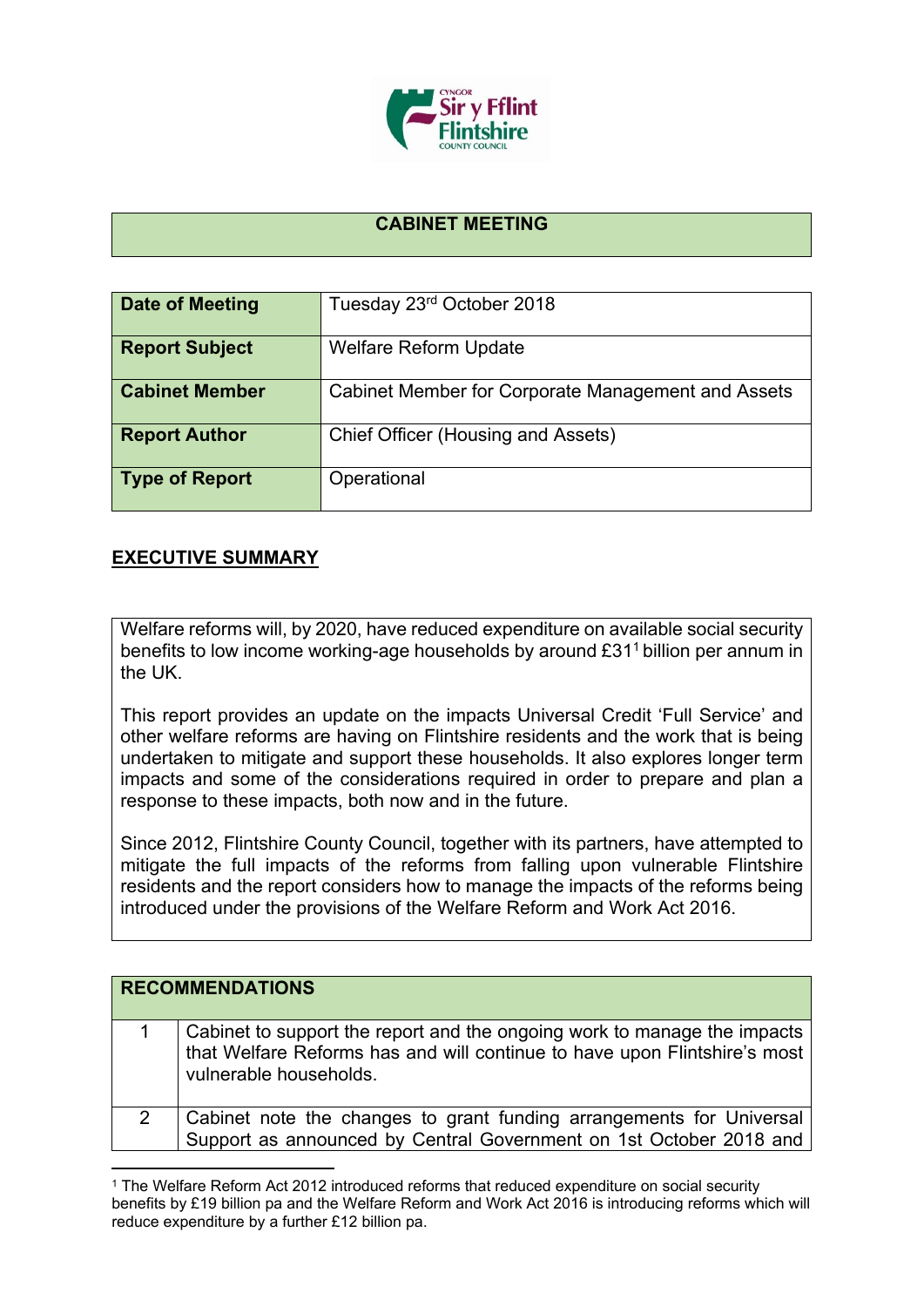

## **CABINET MEETING**

| <b>Date of Meeting</b> | Tuesday 23rd October 2018                          |
|------------------------|----------------------------------------------------|
| <b>Report Subject</b>  | <b>Welfare Reform Update</b>                       |
| <b>Cabinet Member</b>  | Cabinet Member for Corporate Management and Assets |
| <b>Report Author</b>   | Chief Officer (Housing and Assets)                 |
| <b>Type of Report</b>  | Operational                                        |

## **EXECUTIVE SUMMARY**

Welfare reforms will, by 2020, have reduced expenditure on available social security benefits to low income working-age households by around £31<sup>1</sup> billion per annum in the UK.

This report provides an update on the impacts Universal Credit 'Full Service' and other welfare reforms are having on Flintshire residents and the work that is being undertaken to mitigate and support these households. It also explores longer term impacts and some of the considerations required in order to prepare and plan a response to these impacts, both now and in the future.

Since 2012, Flintshire County Council, together with its partners, have attempted to mitigate the full impacts of the reforms from falling upon vulnerable Flintshire residents and the report considers how to manage the impacts of the reforms being introduced under the provisions of the Welfare Reform and Work Act 2016.

|   | <b>RECOMMENDATIONS</b>                                                                                                                                                          |
|---|---------------------------------------------------------------------------------------------------------------------------------------------------------------------------------|
|   | Cabinet to support the report and the ongoing work to manage the impacts<br>that Welfare Reforms has and will continue to have upon Flintshire's most<br>vulnerable households. |
| 2 | Cabinet note the changes to grant funding arrangements for Universal<br>Support as announced by Central Government on 1st October 2018 and                                      |

<sup>1</sup> The Welfare Reform Act 2012 introduced reforms that reduced expenditure on social security benefits by £19 billion pa and the Welfare Reform and Work Act 2016 is introducing reforms which will reduce expenditure by a further £12 billion pa.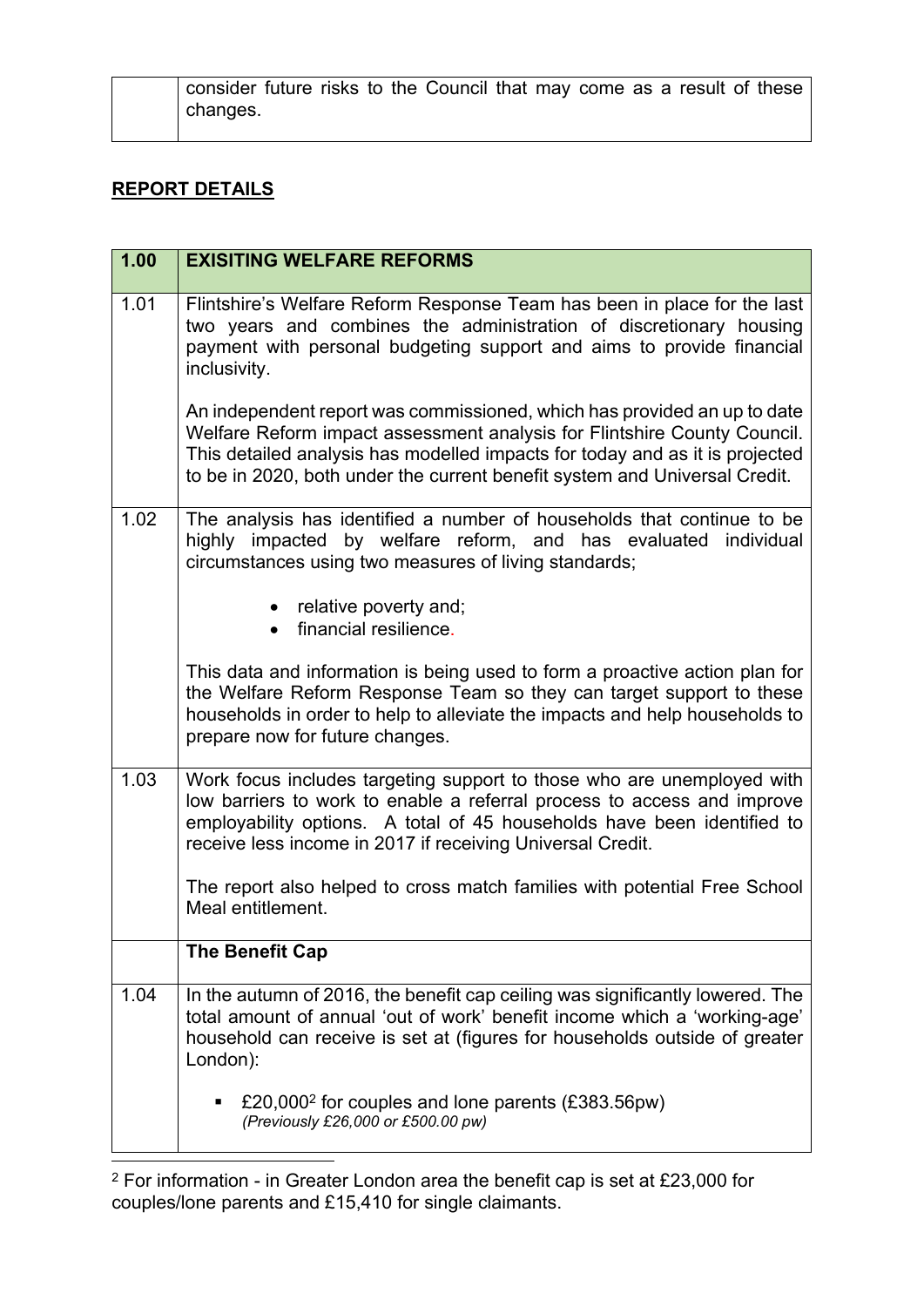consider future risks to the Council that may come as a result of these changes.

## **REPORT DETAILS**

| 1.00 | <b>EXISITING WELFARE REFORMS</b>                                                                                                                                                                                                                                                                                   |
|------|--------------------------------------------------------------------------------------------------------------------------------------------------------------------------------------------------------------------------------------------------------------------------------------------------------------------|
| 1.01 | Flintshire's Welfare Reform Response Team has been in place for the last<br>two years and combines the administration of discretionary housing<br>payment with personal budgeting support and aims to provide financial<br>inclusivity.                                                                            |
|      | An independent report was commissioned, which has provided an up to date<br>Welfare Reform impact assessment analysis for Flintshire County Council.<br>This detailed analysis has modelled impacts for today and as it is projected<br>to be in 2020, both under the current benefit system and Universal Credit. |
| 1.02 | The analysis has identified a number of households that continue to be<br>highly impacted by welfare reform, and has evaluated individual<br>circumstances using two measures of living standards;                                                                                                                 |
|      | • relative poverty and;<br>financial resilience.                                                                                                                                                                                                                                                                   |
|      | This data and information is being used to form a proactive action plan for<br>the Welfare Reform Response Team so they can target support to these<br>households in order to help to alleviate the impacts and help households to<br>prepare now for future changes.                                              |
| 1.03 | Work focus includes targeting support to those who are unemployed with<br>low barriers to work to enable a referral process to access and improve<br>employability options. A total of 45 households have been identified to<br>receive less income in 2017 if receiving Universal Credit.                         |
|      | The report also helped to cross match families with potential Free School<br>Meal entitlement.                                                                                                                                                                                                                     |
|      | <b>The Benefit Cap</b>                                                                                                                                                                                                                                                                                             |
| 1.04 | In the autumn of 2016, the benefit cap ceiling was significantly lowered. The<br>total amount of annual 'out of work' benefit income which a 'working-age'<br>household can receive is set at (figures for households outside of greater<br>London):                                                               |
|      | £20,000 <sup>2</sup> for couples and lone parents (£383.56pw)<br>٠<br>(Previously £26,000 or £500.00 pw)                                                                                                                                                                                                           |

<sup>2</sup> For information - in Greater London area the benefit cap is set at £23,000 for couples/lone parents and £15,410 for single claimants.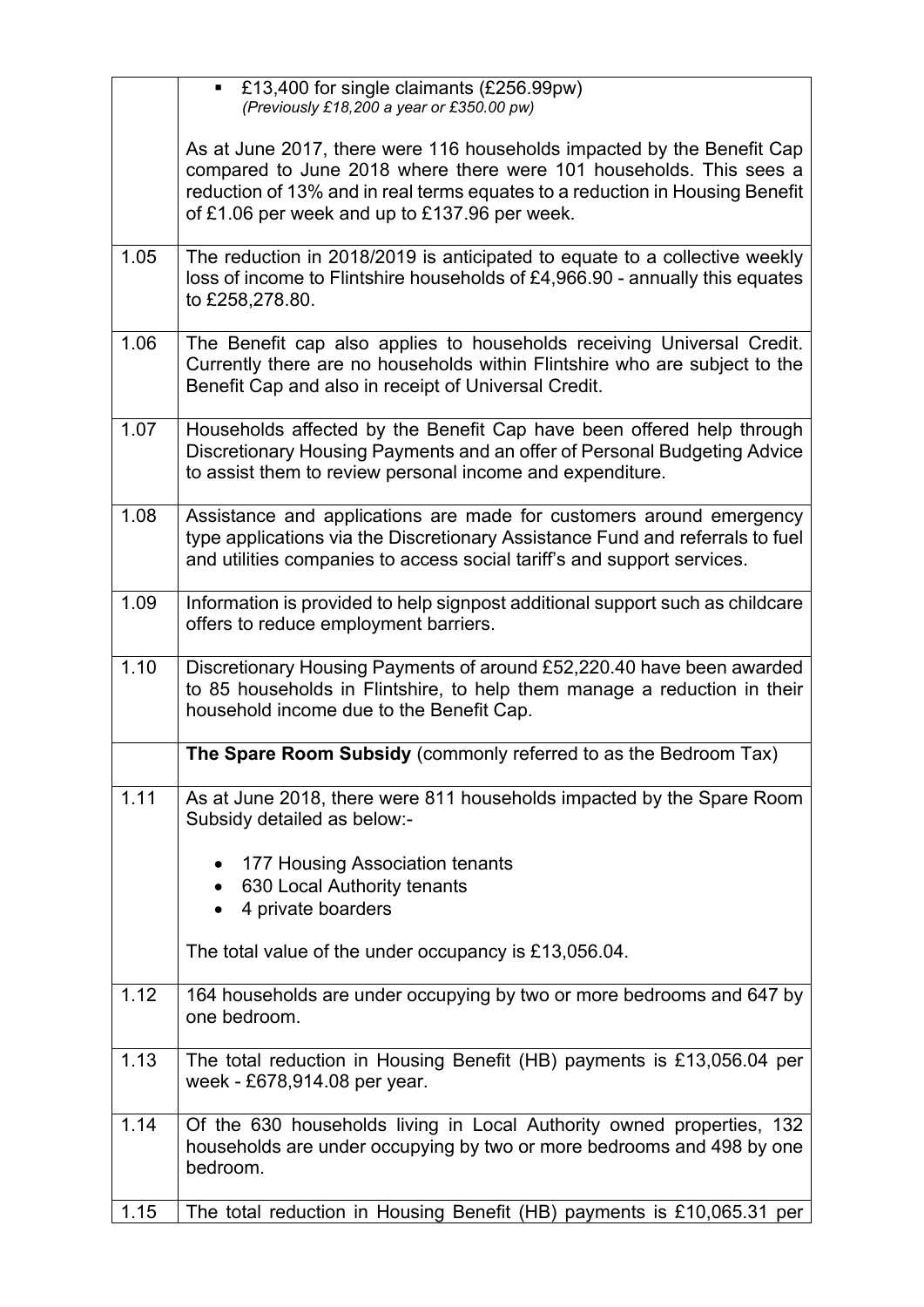|      | £13,400 for single claimants (£256.99pw)<br>$\mathbf{u}$<br>(Previously £18,200 a year or £350.00 pw)                                                                                                                                                                         |
|------|-------------------------------------------------------------------------------------------------------------------------------------------------------------------------------------------------------------------------------------------------------------------------------|
|      | As at June 2017, there were 116 households impacted by the Benefit Cap<br>compared to June 2018 where there were 101 households. This sees a<br>reduction of 13% and in real terms equates to a reduction in Housing Benefit<br>of £1.06 per week and up to £137.96 per week. |
| 1.05 | The reduction in 2018/2019 is anticipated to equate to a collective weekly<br>loss of income to Flintshire households of £4,966.90 - annually this equates<br>to £258,278.80.                                                                                                 |
| 1.06 | The Benefit cap also applies to households receiving Universal Credit.<br>Currently there are no households within Flintshire who are subject to the<br>Benefit Cap and also in receipt of Universal Credit.                                                                  |
| 1.07 | Households affected by the Benefit Cap have been offered help through<br>Discretionary Housing Payments and an offer of Personal Budgeting Advice<br>to assist them to review personal income and expenditure.                                                                |
| 1.08 | Assistance and applications are made for customers around emergency<br>type applications via the Discretionary Assistance Fund and referrals to fuel<br>and utilities companies to access social tariff's and support services.                                               |
| 1.09 | Information is provided to help signpost additional support such as childcare<br>offers to reduce employment barriers.                                                                                                                                                        |
| 1.10 | Discretionary Housing Payments of around £52,220.40 have been awarded<br>to 85 households in Flintshire, to help them manage a reduction in their<br>household income due to the Benefit Cap.                                                                                 |
|      | The Spare Room Subsidy (commonly referred to as the Bedroom Tax)                                                                                                                                                                                                              |
| 1.11 | As at June 2018, there were 811 households impacted by the Spare Room<br>Subsidy detailed as below:-                                                                                                                                                                          |
|      | 177 Housing Association tenants                                                                                                                                                                                                                                               |
|      | 630 Local Authority tenants<br>٠<br>4 private boarders                                                                                                                                                                                                                        |
|      |                                                                                                                                                                                                                                                                               |
|      | The total value of the under occupancy is £13,056.04.                                                                                                                                                                                                                         |
| 1.12 | 164 households are under occupying by two or more bedrooms and 647 by<br>one bedroom.                                                                                                                                                                                         |
| 1.13 | The total reduction in Housing Benefit (HB) payments is £13,056.04 per<br>week - £678,914.08 per year.                                                                                                                                                                        |
| 1.14 | Of the 630 households living in Local Authority owned properties, 132<br>households are under occupying by two or more bedrooms and 498 by one<br>bedroom.                                                                                                                    |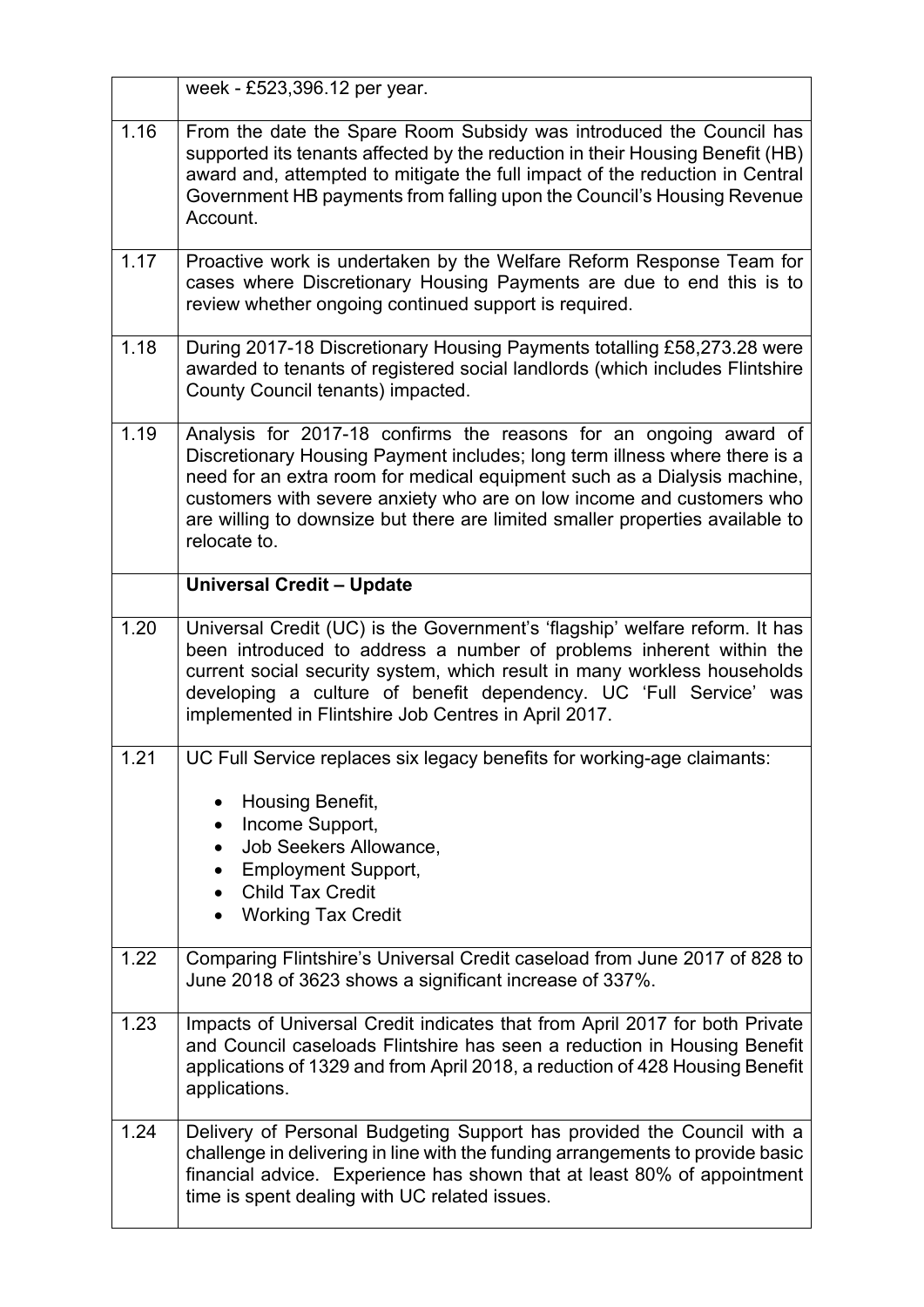|      | week - £523,396.12 per year.                                                                                                                                                                                                                                                                                                                                                                          |
|------|-------------------------------------------------------------------------------------------------------------------------------------------------------------------------------------------------------------------------------------------------------------------------------------------------------------------------------------------------------------------------------------------------------|
| 1.16 | From the date the Spare Room Subsidy was introduced the Council has<br>supported its tenants affected by the reduction in their Housing Benefit (HB)<br>award and, attempted to mitigate the full impact of the reduction in Central<br>Government HB payments from falling upon the Council's Housing Revenue<br>Account.                                                                            |
| 1.17 | Proactive work is undertaken by the Welfare Reform Response Team for<br>cases where Discretionary Housing Payments are due to end this is to<br>review whether ongoing continued support is required.                                                                                                                                                                                                 |
| 1.18 | During 2017-18 Discretionary Housing Payments totalling £58,273.28 were<br>awarded to tenants of registered social landlords (which includes Flintshire<br>County Council tenants) impacted.                                                                                                                                                                                                          |
| 1.19 | Analysis for 2017-18 confirms the reasons for an ongoing award of<br>Discretionary Housing Payment includes; long term illness where there is a<br>need for an extra room for medical equipment such as a Dialysis machine,<br>customers with severe anxiety who are on low income and customers who<br>are willing to downsize but there are limited smaller properties available to<br>relocate to. |
|      | <b>Universal Credit - Update</b>                                                                                                                                                                                                                                                                                                                                                                      |
| 1.20 | Universal Credit (UC) is the Government's 'flagship' welfare reform. It has<br>been introduced to address a number of problems inherent within the<br>current social security system, which result in many workless households<br>developing a culture of benefit dependency. UC 'Full Service' was<br>implemented in Flintshire Job Centres in April 2017.                                           |
| 1.21 | UC Full Service replaces six legacy benefits for working-age claimants:<br>Housing Benefit,<br>Income Support,<br>Job Seekers Allowance,<br>$\bullet$<br><b>Employment Support,</b><br><b>Child Tax Credit</b><br><b>Working Tax Credit</b>                                                                                                                                                           |
| 1.22 | Comparing Flintshire's Universal Credit caseload from June 2017 of 828 to<br>June 2018 of 3623 shows a significant increase of 337%.                                                                                                                                                                                                                                                                  |
| 1.23 | Impacts of Universal Credit indicates that from April 2017 for both Private<br>and Council caseloads Flintshire has seen a reduction in Housing Benefit<br>applications of 1329 and from April 2018, a reduction of 428 Housing Benefit<br>applications.                                                                                                                                              |
| 1.24 | Delivery of Personal Budgeting Support has provided the Council with a<br>challenge in delivering in line with the funding arrangements to provide basic<br>financial advice. Experience has shown that at least 80% of appointment<br>time is spent dealing with UC related issues.                                                                                                                  |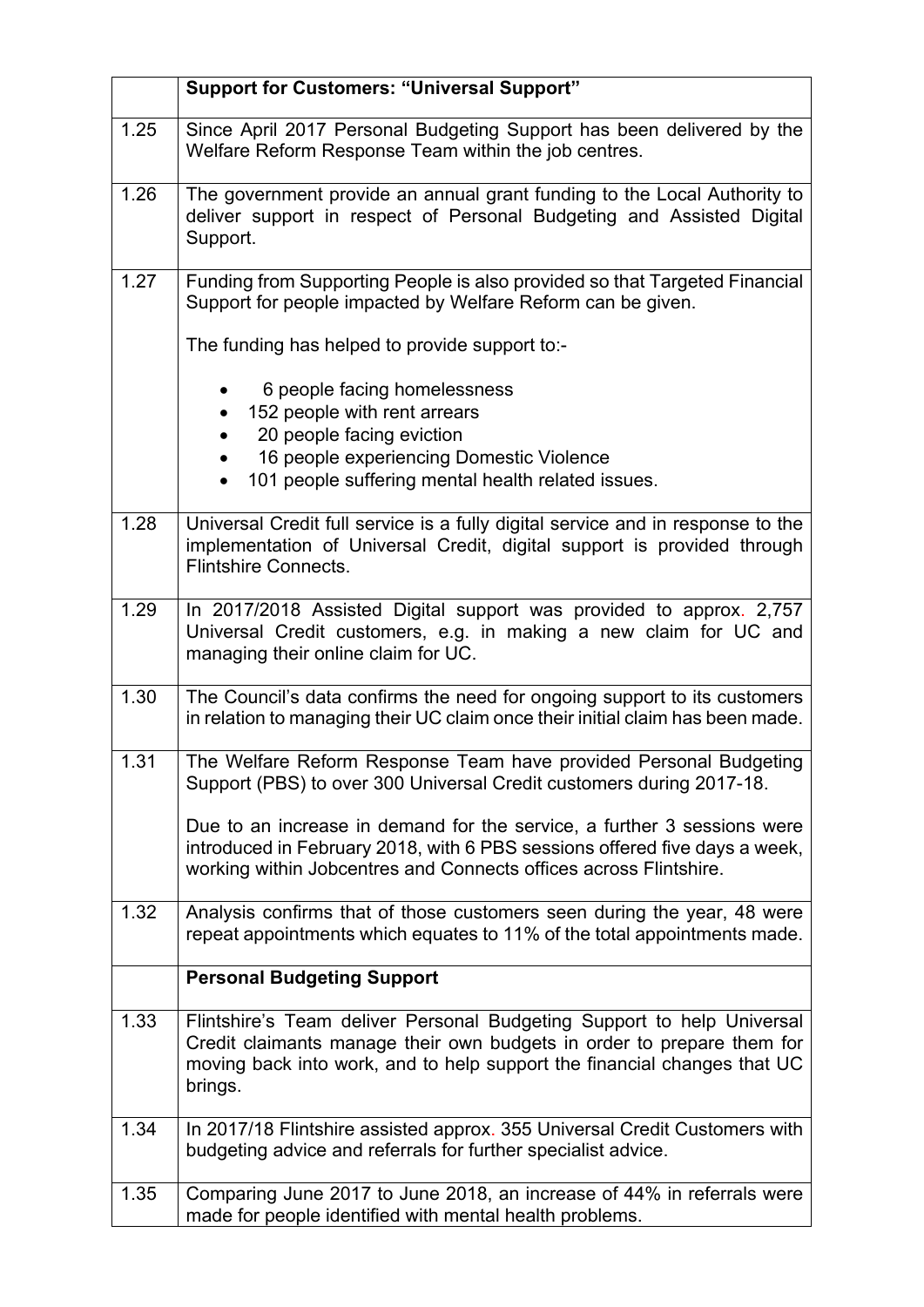|      | <b>Support for Customers: "Universal Support"</b>                                                                                                                                                                                       |
|------|-----------------------------------------------------------------------------------------------------------------------------------------------------------------------------------------------------------------------------------------|
| 1.25 | Since April 2017 Personal Budgeting Support has been delivered by the<br>Welfare Reform Response Team within the job centres.                                                                                                           |
| 1.26 | The government provide an annual grant funding to the Local Authority to<br>deliver support in respect of Personal Budgeting and Assisted Digital<br>Support.                                                                           |
| 1.27 | Funding from Supporting People is also provided so that Targeted Financial<br>Support for people impacted by Welfare Reform can be given.                                                                                               |
|      | The funding has helped to provide support to:-                                                                                                                                                                                          |
|      | 6 people facing homelessness                                                                                                                                                                                                            |
|      | 152 people with rent arrears<br>20 people facing eviction                                                                                                                                                                               |
|      | 16 people experiencing Domestic Violence                                                                                                                                                                                                |
|      | 101 people suffering mental health related issues.                                                                                                                                                                                      |
| 1.28 | Universal Credit full service is a fully digital service and in response to the<br>implementation of Universal Credit, digital support is provided through<br><b>Flintshire Connects.</b>                                               |
| 1.29 | In 2017/2018 Assisted Digital support was provided to approx. 2,757<br>Universal Credit customers, e.g. in making a new claim for UC and<br>managing their online claim for UC.                                                         |
| 1.30 | The Council's data confirms the need for ongoing support to its customers<br>in relation to managing their UC claim once their initial claim has been made.                                                                             |
| 1.31 | The Welfare Reform Response Team have provided Personal Budgeting<br>Support (PBS) to over 300 Universal Credit customers during 2017-18.                                                                                               |
|      | Due to an increase in demand for the service, a further 3 sessions were<br>introduced in February 2018, with 6 PBS sessions offered five days a week,<br>working within Jobcentres and Connects offices across Flintshire.              |
| 1.32 | Analysis confirms that of those customers seen during the year, 48 were<br>repeat appointments which equates to 11% of the total appointments made.                                                                                     |
|      | <b>Personal Budgeting Support</b>                                                                                                                                                                                                       |
| 1.33 | Flintshire's Team deliver Personal Budgeting Support to help Universal<br>Credit claimants manage their own budgets in order to prepare them for<br>moving back into work, and to help support the financial changes that UC<br>brings. |
| 1.34 | In 2017/18 Flintshire assisted approx. 355 Universal Credit Customers with<br>budgeting advice and referrals for further specialist advice.                                                                                             |
| 1.35 | Comparing June 2017 to June 2018, an increase of 44% in referrals were<br>made for people identified with mental health problems.                                                                                                       |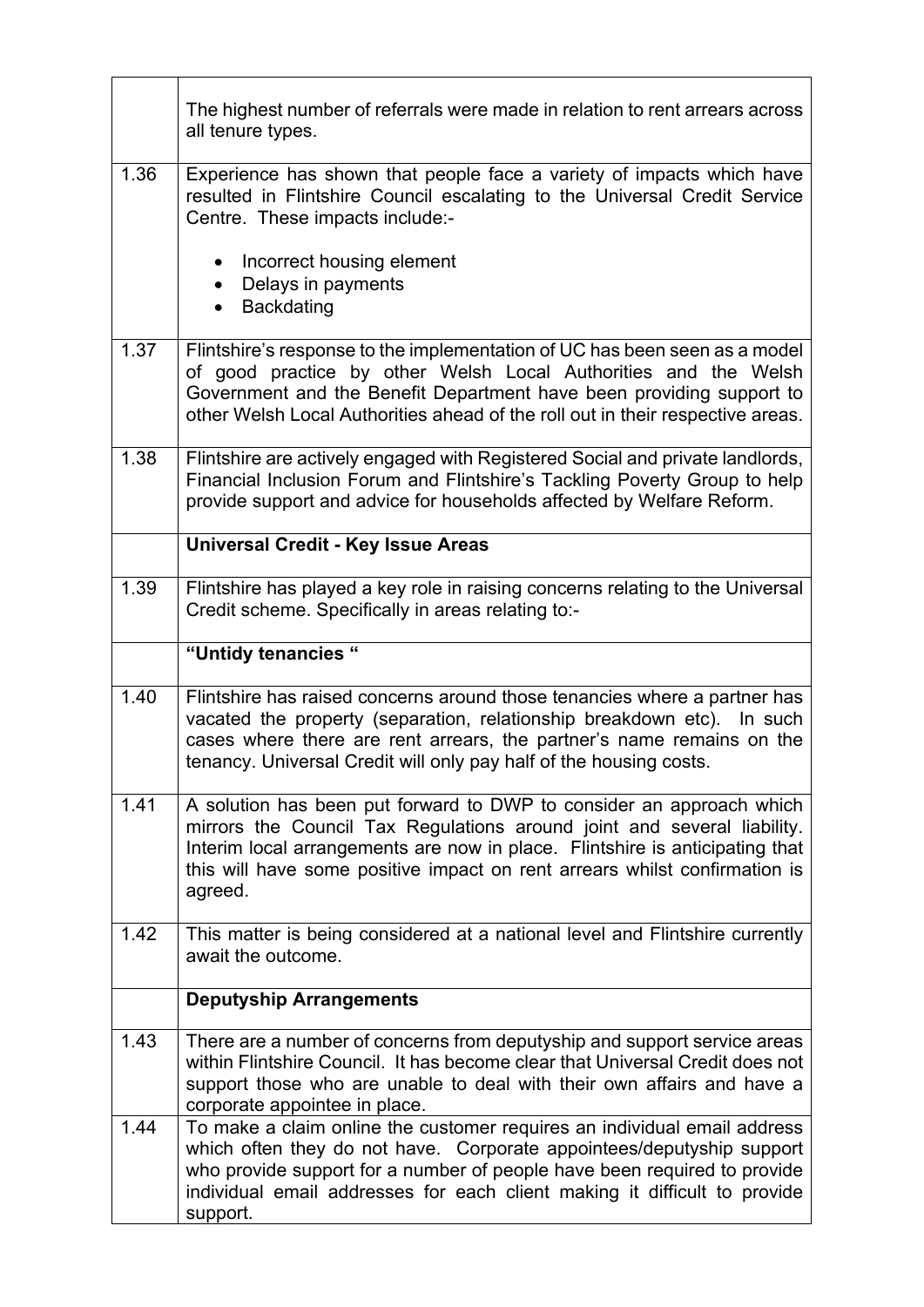|      | The highest number of referrals were made in relation to rent arrears across<br>all tenure types.                                                                                                                                                                                                                        |
|------|--------------------------------------------------------------------------------------------------------------------------------------------------------------------------------------------------------------------------------------------------------------------------------------------------------------------------|
| 1.36 | Experience has shown that people face a variety of impacts which have<br>resulted in Flintshire Council escalating to the Universal Credit Service<br>Centre. These impacts include:-                                                                                                                                    |
|      | Incorrect housing element<br>Delays in payments<br><b>Backdating</b>                                                                                                                                                                                                                                                     |
| 1.37 | Flintshire's response to the implementation of UC has been seen as a model<br>of good practice by other Welsh Local Authorities and the Welsh<br>Government and the Benefit Department have been providing support to<br>other Welsh Local Authorities ahead of the roll out in their respective areas.                  |
| 1.38 | Flintshire are actively engaged with Registered Social and private landlords,<br>Financial Inclusion Forum and Flintshire's Tackling Poverty Group to help<br>provide support and advice for households affected by Welfare Reform.                                                                                      |
|      | <b>Universal Credit - Key Issue Areas</b>                                                                                                                                                                                                                                                                                |
| 1.39 | Flintshire has played a key role in raising concerns relating to the Universal<br>Credit scheme. Specifically in areas relating to:-                                                                                                                                                                                     |
|      | "Untidy tenancies "                                                                                                                                                                                                                                                                                                      |
| 1.40 | Flintshire has raised concerns around those tenancies where a partner has<br>vacated the property (separation, relationship breakdown etc). In such<br>cases where there are rent arrears, the partner's name remains on the<br>tenancy. Universal Credit will only pay half of the housing costs.                       |
| 1.41 | A solution has been put forward to DWP to consider an approach which<br>mirrors the Council Tax Regulations around joint and several liability.<br>Interim local arrangements are now in place. Flintshire is anticipating that<br>this will have some positive impact on rent arrears whilst confirmation is<br>agreed. |
| 1.42 | This matter is being considered at a national level and Flintshire currently<br>await the outcome.                                                                                                                                                                                                                       |
|      | <b>Deputyship Arrangements</b>                                                                                                                                                                                                                                                                                           |
| 1.43 | There are a number of concerns from deputyship and support service areas<br>within Flintshire Council. It has become clear that Universal Credit does not<br>support those who are unable to deal with their own affairs and have a<br>corporate appointee in place.                                                     |
| 1.44 | To make a claim online the customer requires an individual email address<br>which often they do not have. Corporate appointees/deputyship support<br>who provide support for a number of people have been required to provide<br>individual email addresses for each client making it difficult to provide<br>support.   |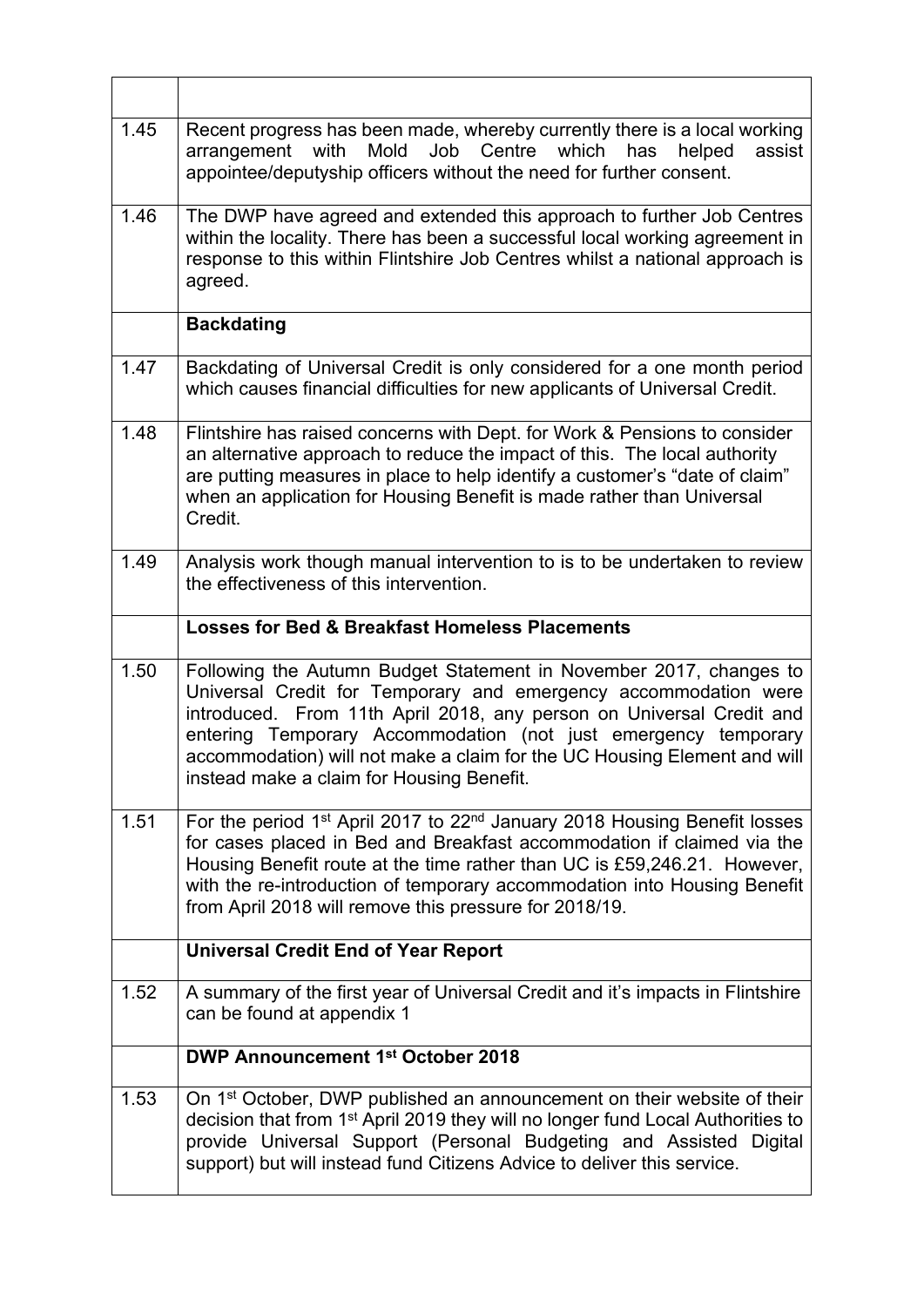| 1.45 | Recent progress has been made, whereby currently there is a local working<br>arrangement with<br>Mold<br>Job Centre which has<br>helped<br>assist<br>appointee/deputyship officers without the need for further consent.                                                                                                                                                                                 |
|------|----------------------------------------------------------------------------------------------------------------------------------------------------------------------------------------------------------------------------------------------------------------------------------------------------------------------------------------------------------------------------------------------------------|
| 1.46 | The DWP have agreed and extended this approach to further Job Centres<br>within the locality. There has been a successful local working agreement in<br>response to this within Flintshire Job Centres whilst a national approach is<br>agreed.                                                                                                                                                          |
|      | <b>Backdating</b>                                                                                                                                                                                                                                                                                                                                                                                        |
| 1.47 | Backdating of Universal Credit is only considered for a one month period<br>which causes financial difficulties for new applicants of Universal Credit.                                                                                                                                                                                                                                                  |
| 1.48 | Flintshire has raised concerns with Dept. for Work & Pensions to consider<br>an alternative approach to reduce the impact of this. The local authority<br>are putting measures in place to help identify a customer's "date of claim"<br>when an application for Housing Benefit is made rather than Universal<br>Credit.                                                                                |
| 1.49 | Analysis work though manual intervention to is to be undertaken to review<br>the effectiveness of this intervention.                                                                                                                                                                                                                                                                                     |
|      | <b>Losses for Bed &amp; Breakfast Homeless Placements</b>                                                                                                                                                                                                                                                                                                                                                |
| 1.50 | Following the Autumn Budget Statement in November 2017, changes to<br>Universal Credit for Temporary and emergency accommodation were<br>introduced. From 11th April 2018, any person on Universal Credit and<br>entering Temporary Accommodation (not just emergency temporary<br>accommodation) will not make a claim for the UC Housing Element and will<br>instead make a claim for Housing Benefit. |
| 1.51 | For the period 1 <sup>st</sup> April 2017 to 22 <sup>nd</sup> January 2018 Housing Benefit losses<br>for cases placed in Bed and Breakfast accommodation if claimed via the<br>Housing Benefit route at the time rather than UC is £59,246.21. However,<br>with the re-introduction of temporary accommodation into Housing Benefit<br>from April 2018 will remove this pressure for 2018/19.            |
|      | <b>Universal Credit End of Year Report</b>                                                                                                                                                                                                                                                                                                                                                               |
| 1.52 | A summary of the first year of Universal Credit and it's impacts in Flintshire<br>can be found at appendix 1                                                                                                                                                                                                                                                                                             |
|      | DWP Announcement 1st October 2018                                                                                                                                                                                                                                                                                                                                                                        |
| 1.53 | On 1 <sup>st</sup> October, DWP published an announcement on their website of their<br>decision that from 1 <sup>st</sup> April 2019 they will no longer fund Local Authorities to<br>provide Universal Support (Personal Budgeting and Assisted Digital<br>support) but will instead fund Citizens Advice to deliver this service.                                                                      |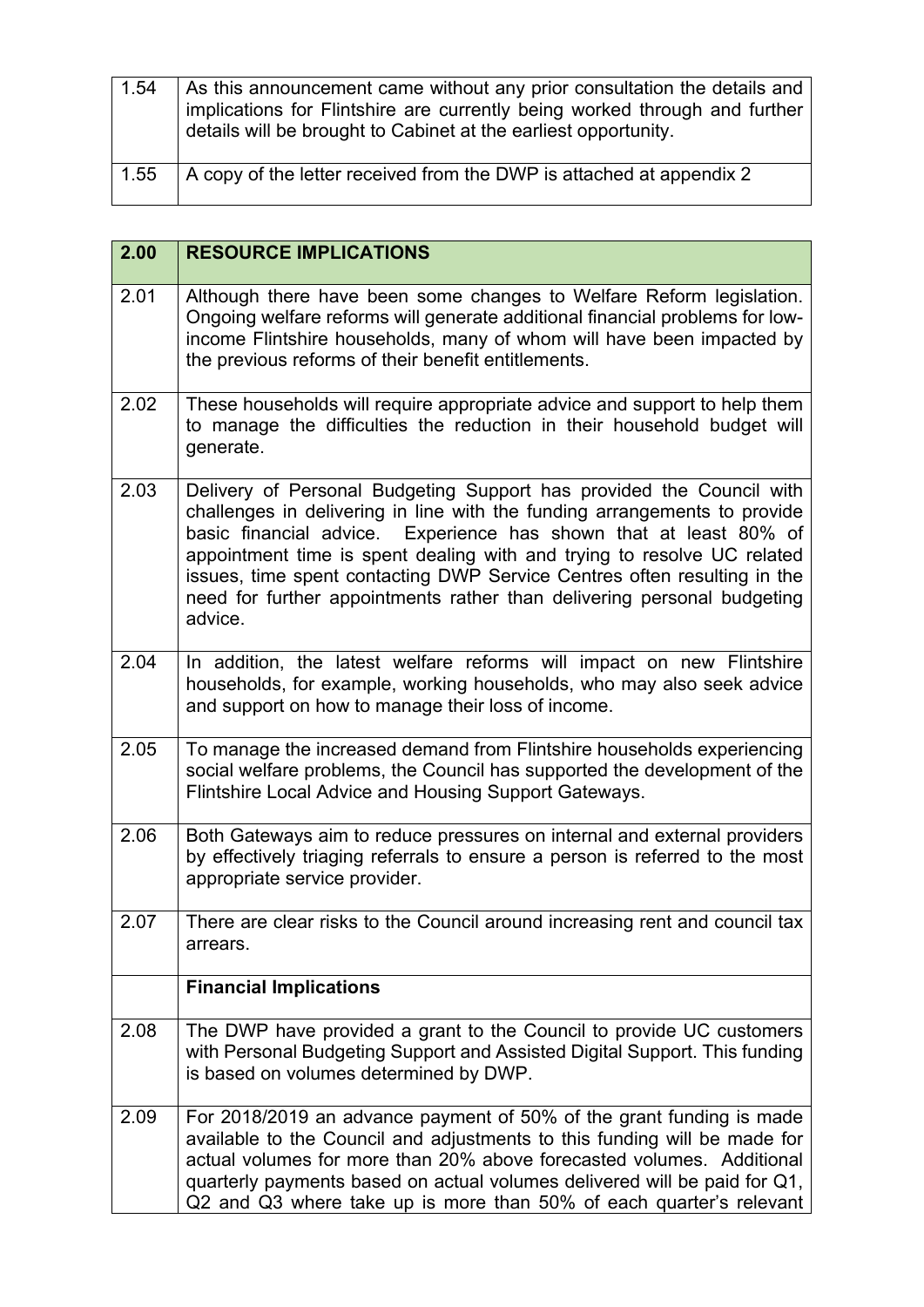| 1.54 | As this announcement came without any prior consultation the details and<br>implications for Flintshire are currently being worked through and further<br>details will be brought to Cabinet at the earliest opportunity. |
|------|---------------------------------------------------------------------------------------------------------------------------------------------------------------------------------------------------------------------------|
| 1.55 | A copy of the letter received from the DWP is attached at appendix 2                                                                                                                                                      |

| 2.00 | <b>RESOURCE IMPLICATIONS</b>                                                                                                                                                                                                                                                                                                                                                                                                                                        |
|------|---------------------------------------------------------------------------------------------------------------------------------------------------------------------------------------------------------------------------------------------------------------------------------------------------------------------------------------------------------------------------------------------------------------------------------------------------------------------|
| 2.01 | Although there have been some changes to Welfare Reform legislation.<br>Ongoing welfare reforms will generate additional financial problems for low-<br>income Flintshire households, many of whom will have been impacted by<br>the previous reforms of their benefit entitlements.                                                                                                                                                                                |
| 2.02 | These households will require appropriate advice and support to help them<br>to manage the difficulties the reduction in their household budget will<br>generate.                                                                                                                                                                                                                                                                                                   |
| 2.03 | Delivery of Personal Budgeting Support has provided the Council with<br>challenges in delivering in line with the funding arrangements to provide<br>basic financial advice. Experience has shown that at least 80% of<br>appointment time is spent dealing with and trying to resolve UC related<br>issues, time spent contacting DWP Service Centres often resulting in the<br>need for further appointments rather than delivering personal budgeting<br>advice. |
| 2.04 | In addition, the latest welfare reforms will impact on new Flintshire<br>households, for example, working households, who may also seek advice<br>and support on how to manage their loss of income.                                                                                                                                                                                                                                                                |
| 2.05 | To manage the increased demand from Flintshire households experiencing<br>social welfare problems, the Council has supported the development of the<br>Flintshire Local Advice and Housing Support Gateways.                                                                                                                                                                                                                                                        |
| 2.06 | Both Gateways aim to reduce pressures on internal and external providers<br>by effectively triaging referrals to ensure a person is referred to the most<br>appropriate service provider.                                                                                                                                                                                                                                                                           |
| 2.07 | There are clear risks to the Council around increasing rent and council tax<br>arrears.                                                                                                                                                                                                                                                                                                                                                                             |
|      | <b>Financial Implications</b>                                                                                                                                                                                                                                                                                                                                                                                                                                       |
| 2.08 | The DWP have provided a grant to the Council to provide UC customers<br>with Personal Budgeting Support and Assisted Digital Support. This funding<br>is based on volumes determined by DWP.                                                                                                                                                                                                                                                                        |
| 2.09 | For 2018/2019 an advance payment of 50% of the grant funding is made<br>available to the Council and adjustments to this funding will be made for<br>actual volumes for more than 20% above forecasted volumes. Additional<br>quarterly payments based on actual volumes delivered will be paid for Q1,<br>Q2 and Q3 where take up is more than 50% of each quarter's relevant                                                                                      |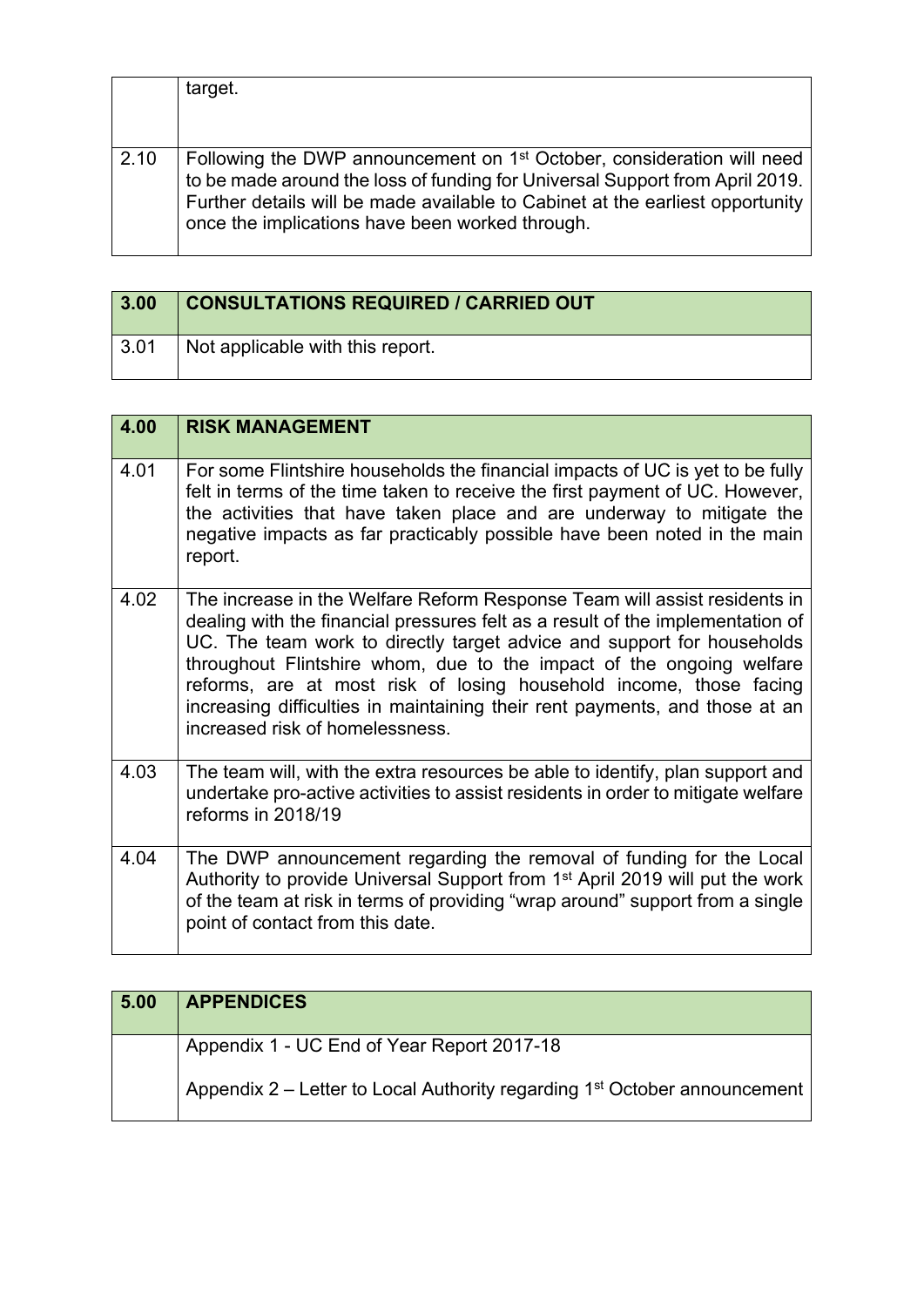|      | target.                                                                                                                                                                                                                                                                                                |
|------|--------------------------------------------------------------------------------------------------------------------------------------------------------------------------------------------------------------------------------------------------------------------------------------------------------|
| 2.10 | Following the DWP announcement on 1 <sup>st</sup> October, consideration will need<br>to be made around the loss of funding for Universal Support from April 2019.<br>Further details will be made available to Cabinet at the earliest opportunity<br>once the implications have been worked through. |

| 3.00 | <b>CONSULTATIONS REQUIRED / CARRIED OUT</b> |
|------|---------------------------------------------|
| 3.01 | Not applicable with this report.            |

| 4.00 | <b>RISK MANAGEMENT</b>                                                                                                                                                                                                                                                                                                                                                                                                                                                                                |
|------|-------------------------------------------------------------------------------------------------------------------------------------------------------------------------------------------------------------------------------------------------------------------------------------------------------------------------------------------------------------------------------------------------------------------------------------------------------------------------------------------------------|
| 4.01 | For some Flintshire households the financial impacts of UC is yet to be fully<br>felt in terms of the time taken to receive the first payment of UC. However,<br>the activities that have taken place and are underway to mitigate the<br>negative impacts as far practicably possible have been noted in the main<br>report.                                                                                                                                                                         |
| 4.02 | The increase in the Welfare Reform Response Team will assist residents in<br>dealing with the financial pressures felt as a result of the implementation of<br>UC. The team work to directly target advice and support for households<br>throughout Flintshire whom, due to the impact of the ongoing welfare<br>reforms, are at most risk of losing household income, those facing<br>increasing difficulties in maintaining their rent payments, and those at an<br>increased risk of homelessness. |
| 4.03 | The team will, with the extra resources be able to identify, plan support and<br>undertake pro-active activities to assist residents in order to mitigate welfare<br>reforms in 2018/19                                                                                                                                                                                                                                                                                                               |
| 4.04 | The DWP announcement regarding the removal of funding for the Local<br>Authority to provide Universal Support from 1 <sup>st</sup> April 2019 will put the work<br>of the team at risk in terms of providing "wrap around" support from a single<br>point of contact from this date.                                                                                                                                                                                                                  |

| 5.00 | <b>APPENDICES</b>                                                                     |
|------|---------------------------------------------------------------------------------------|
|      | Appendix 1 - UC End of Year Report 2017-18                                            |
|      | Appendix 2 – Letter to Local Authority regarding 1 <sup>st</sup> October announcement |